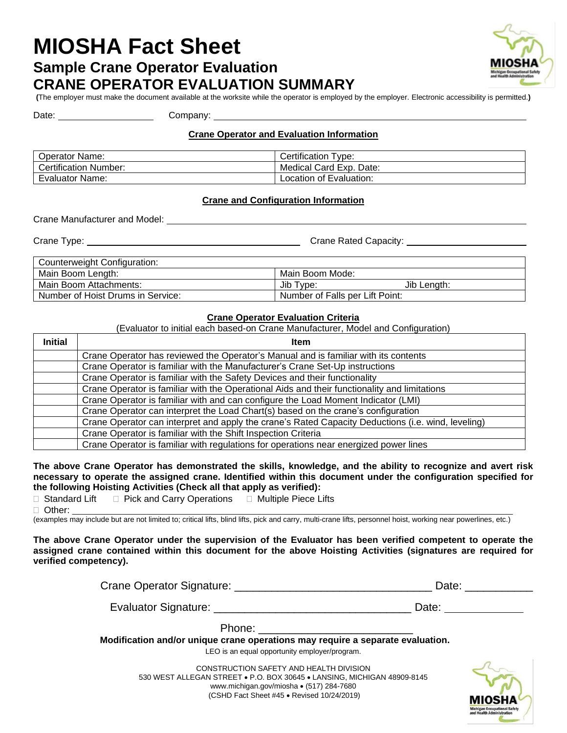# **MIOSHA Fact Sheet Sample Crane Operator Evaluation CRANE OPERATOR EVALUATION SUMMARY**



**(**The employer must make the document available at the worksite while the operator is employed by the employer. Electronic accessibility is permitted.**)**

Date: <u>Company:</u> Company:

## **Crane Operator and Evaluation Information**

| <b>Operator Name:</b>        | Type:<br>Certification  |
|------------------------------|-------------------------|
| <b>Certification Number:</b> | Medical Card Exp. Date: |
| <b>Evaluator Name:</b>       | Location of Evaluation: |

## **Crane and Configuration Information**

Crane Manufacturer and Model:

Crane Type: Crane Rated Capacity:

| Counterweight Configuration:      |                                 |  |  |
|-----------------------------------|---------------------------------|--|--|
| Main Boom Length:                 | Main Boom Mode:                 |  |  |
| Main Boom Attachments:            | Jib Type:<br>Jib Length:        |  |  |
| Number of Hoist Drums in Service: | Number of Falls per Lift Point: |  |  |

### **Crane Operator Evaluation Criteria**

(Evaluator to initial each based-on Crane Manufacturer, Model and Configuration)

| <b>Initial</b> | <b>Item</b>                                                                                        |
|----------------|----------------------------------------------------------------------------------------------------|
|                | Crane Operator has reviewed the Operator's Manual and is familiar with its contents                |
|                | Crane Operator is familiar with the Manufacturer's Crane Set-Up instructions                       |
|                | Crane Operator is familiar with the Safety Devices and their functionality                         |
|                | Crane Operator is familiar with the Operational Aids and their functionality and limitations       |
|                | Crane Operator is familiar with and can configure the Load Moment Indicator (LMI)                  |
|                | Crane Operator can interpret the Load Chart(s) based on the crane's configuration                  |
|                | Crane Operator can interpret and apply the crane's Rated Capacity Deductions (i.e. wind, leveling) |
|                | Crane Operator is familiar with the Shift Inspection Criteria                                      |
|                | Crane Operator is familiar with regulations for operations near energized power lines              |

**The above Crane Operator has demonstrated the skills, knowledge, and the ability to recognize and avert risk necessary to operate the assigned crane. Identified within this document under the configuration specified for the following Hoisting Activities (Check all that apply as verified):**

 $\Box$  Standard Lift  $\Box$  Pick and Carry Operations  $\Box$  Multiple Piece Lifts Other: \_\_\_\_\_\_\_\_\_\_\_\_\_\_\_\_\_\_\_\_\_\_\_\_\_\_\_\_\_\_\_\_\_\_\_\_\_\_\_\_\_\_\_\_\_\_\_\_\_\_\_\_\_\_\_\_\_\_\_\_\_\_\_\_\_\_\_\_\_\_\_\_\_\_\_\_\_\_\_\_\_\_\_\_\_\_\_\_\_\_\_\_\_\_\_\_\_\_\_\_\_\_\_\_\_\_\_

(examples may include but are not limited to; critical lifts, blind lifts, pick and carry, multi-crane lifts, personnel hoist, working near powerlines, etc.)

**The above Crane Operator under the supervision of the Evaluator has been verified competent to operate the assigned crane contained within this document for the above Hoisting Activities (signatures are required for verified competency).**

| Crane Operator Signature: Crane Communication of the Crane Crane Communication of the Crane Crane Crane Crane C                                                                                                                | Date:                                                  |
|--------------------------------------------------------------------------------------------------------------------------------------------------------------------------------------------------------------------------------|--------------------------------------------------------|
| Evaluator Signature: University of Alexander School and Alexander School and Alexander School and Alexander School and Alexander School and Alexander School and Alexander School and Alexander School and Alexander School an | Date: $\frac{1}{\sqrt{1-\frac{1}{2}}\cdot\frac{1}{2}}$ |
| Phone: ________________________<br>Modification and/or unique crane operations may require a separate evaluation.<br>LEO is an equal opportunity employer/program.                                                             |                                                        |
| CONSTRUCTION SAFETY AND HEALTH DIVISION<br>530 WEST ALLEGAN STREET . P.O. BOX 30645 . LANSING, MICHIGAN 48909-8145                                                                                                             |                                                        |

www.michigan.gov/miosha • (517) 284-7680 (CSHD Fact Sheet #45 • Revised 10/24/2019)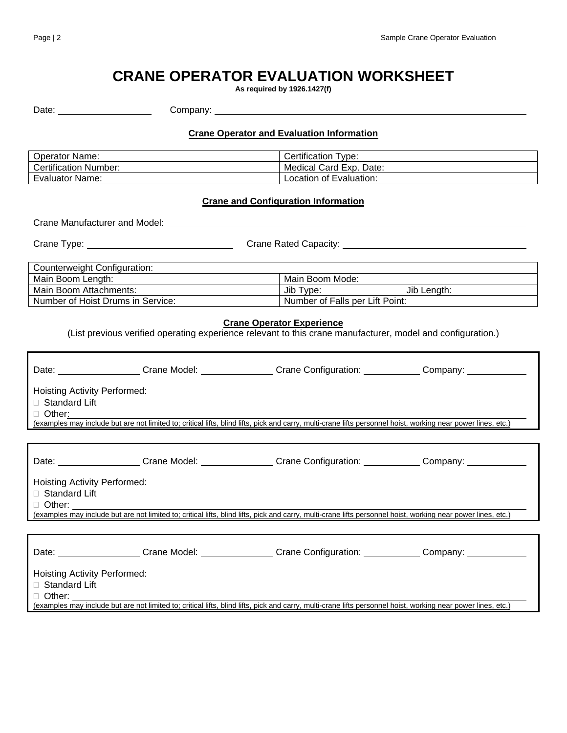# **CRANE OPERATOR EVALUATION WORKSHEET**

**As required by 1926.1427(f)**

| Date: | יוחמי.<br>nm.<br>----- |
|-------|------------------------|
|       |                        |

## **Crane Operator and Evaluation Information**

| <b>Operator Name:</b>        | Type:<br>Certification  |
|------------------------------|-------------------------|
| <b>Certification Number:</b> | Medical Card Exp. Date: |
| <b>Evaluator Name:</b>       | Location of Evaluation: |

## **Crane and Configuration Information**

Crane Manufacturer and Model:

Crane Type: Crane Rated Capacity:

| Counterweight Configuration:      |                                 |  |
|-----------------------------------|---------------------------------|--|
| Main Boom Length:                 | Main Boom Mode:                 |  |
| Main Boom Attachments:            | Jib Type:<br>Jib Lenath:        |  |
| Number of Hoist Drums in Service: | Number of Falls per Lift Point: |  |

#### **Crane Operator Experience**

(List previous verified operating experience relevant to this crane manufacturer, model and configuration.)

|                                                                                                                                                               |  | Date: ____________________Crane Model: _________________Crane Configuration: _____________Company: ___________                                                |  |
|---------------------------------------------------------------------------------------------------------------------------------------------------------------|--|---------------------------------------------------------------------------------------------------------------------------------------------------------------|--|
| <b>Hoisting Activity Performed:</b><br>$\Box$ Standard Lift<br>$\Box$ Other:                                                                                  |  | (examples may include but are not limited to; critical lifts, blind lifts, pick and carry, multi-crane lifts personnel hoist, working near power lines, etc.) |  |
|                                                                                                                                                               |  |                                                                                                                                                               |  |
|                                                                                                                                                               |  | Date: Crane Model: Crane Model: Crane Configuration: Company: Company:                                                                                        |  |
| Hoisting Activity Performed:                                                                                                                                  |  |                                                                                                                                                               |  |
| $\Box$ Standard Lift                                                                                                                                          |  |                                                                                                                                                               |  |
| $\Box$ Other: $\Box$                                                                                                                                          |  |                                                                                                                                                               |  |
| (examples may include but are not limited to; critical lifts, blind lifts, pick and carry, multi-crane lifts personnel hoist, working near power lines, etc.) |  |                                                                                                                                                               |  |
|                                                                                                                                                               |  |                                                                                                                                                               |  |
|                                                                                                                                                               |  | Date: __________________Crane Model: _______________Crane Configuration: ____________Company: ____________                                                    |  |
| <b>Hoisting Activity Performed:</b>                                                                                                                           |  |                                                                                                                                                               |  |
| $\Box$ Standard Lift                                                                                                                                          |  |                                                                                                                                                               |  |
| $\Box$ Other: $\_\_\_\_\_\_\_\_\_\_\_\_\_\_\_$                                                                                                                |  |                                                                                                                                                               |  |
|                                                                                                                                                               |  | (examples may include but are not limited to; critical lifts, blind lifts, pick and carry, multi-crane lifts personnel hoist, working near power lines, etc.) |  |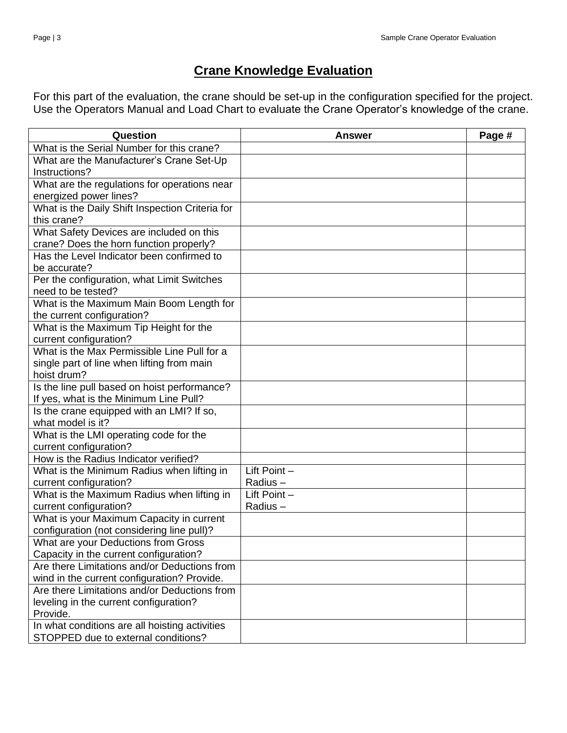## **Crane Knowledge Evaluation**

For this part of the evaluation, the crane should be set-up in the configuration specified for the project. Use the Operators Manual and Load Chart to evaluate the Crane Operator's knowledge of the crane.

| What is the Serial Number for this crane?<br>What are the Manufacturer's Crane Set-Up<br>Instructions?<br>What are the regulations for operations near<br>energized power lines? | Question                                        | <b>Answer</b> | Page # |
|----------------------------------------------------------------------------------------------------------------------------------------------------------------------------------|-------------------------------------------------|---------------|--------|
|                                                                                                                                                                                  |                                                 |               |        |
|                                                                                                                                                                                  |                                                 |               |        |
|                                                                                                                                                                                  |                                                 |               |        |
|                                                                                                                                                                                  |                                                 |               |        |
|                                                                                                                                                                                  |                                                 |               |        |
|                                                                                                                                                                                  | What is the Daily Shift Inspection Criteria for |               |        |
| this crane?                                                                                                                                                                      |                                                 |               |        |
| What Safety Devices are included on this                                                                                                                                         |                                                 |               |        |
| crane? Does the horn function properly?                                                                                                                                          |                                                 |               |        |
| Has the Level Indicator been confirmed to                                                                                                                                        |                                                 |               |        |
| be accurate?                                                                                                                                                                     |                                                 |               |        |
| Per the configuration, what Limit Switches                                                                                                                                       |                                                 |               |        |
| need to be tested?                                                                                                                                                               |                                                 |               |        |
| What is the Maximum Main Boom Length for                                                                                                                                         |                                                 |               |        |
| the current configuration?                                                                                                                                                       |                                                 |               |        |
| What is the Maximum Tip Height for the                                                                                                                                           |                                                 |               |        |
| current configuration?                                                                                                                                                           |                                                 |               |        |
| What is the Max Permissible Line Pull for a                                                                                                                                      |                                                 |               |        |
| single part of line when lifting from main                                                                                                                                       |                                                 |               |        |
| hoist drum?                                                                                                                                                                      |                                                 |               |        |
| Is the line pull based on hoist performance?                                                                                                                                     |                                                 |               |        |
| If yes, what is the Minimum Line Pull?                                                                                                                                           |                                                 |               |        |
| Is the crane equipped with an LMI? If so,                                                                                                                                        |                                                 |               |        |
| what model is it?                                                                                                                                                                |                                                 |               |        |
| What is the LMI operating code for the                                                                                                                                           |                                                 |               |        |
| current configuration?                                                                                                                                                           |                                                 |               |        |
| How is the Radius Indicator verified?                                                                                                                                            |                                                 |               |        |
| What is the Minimum Radius when lifting in<br>Lift Point $-$                                                                                                                     |                                                 |               |        |
| current configuration?<br>Radius-                                                                                                                                                |                                                 |               |        |
| What is the Maximum Radius when lifting in<br>Lift Point $-$                                                                                                                     |                                                 |               |        |
| current configuration?<br>Radius-                                                                                                                                                |                                                 |               |        |
| What is your Maximum Capacity in current                                                                                                                                         |                                                 |               |        |
| configuration (not considering line pull)?                                                                                                                                       |                                                 |               |        |
| What are your Deductions from Gross                                                                                                                                              |                                                 |               |        |
| Capacity in the current configuration?                                                                                                                                           |                                                 |               |        |
| Are there Limitations and/or Deductions from                                                                                                                                     |                                                 |               |        |
| wind in the current configuration? Provide.                                                                                                                                      |                                                 |               |        |
| Are there Limitations and/or Deductions from                                                                                                                                     |                                                 |               |        |
| leveling in the current configuration?                                                                                                                                           |                                                 |               |        |
| Provide.<br>In what conditions are all hoisting activities                                                                                                                       |                                                 |               |        |
| STOPPED due to external conditions?                                                                                                                                              |                                                 |               |        |